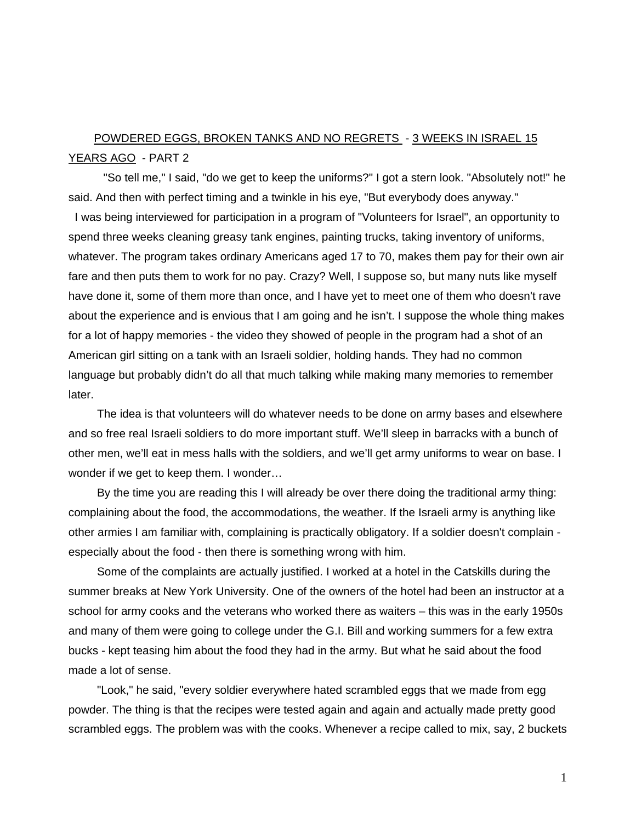## POWDERED EGGS, BROKEN TANKS AND NO REGRETS - 3 WEEKS IN ISRAEL 15 YEARS AGO - PART 2

 "So tell me," I said, "do we get to keep the uniforms?" I got a stern look. "Absolutely not!" he said. And then with perfect timing and a twinkle in his eye, "But everybody does anyway."

 I was being interviewed for participation in a program of "Volunteers for Israel", an opportunity to spend three weeks cleaning greasy tank engines, painting trucks, taking inventory of uniforms, whatever. The program takes ordinary Americans aged 17 to 70, makes them pay for their own air fare and then puts them to work for no pay. Crazy? Well, I suppose so, but many nuts like myself have done it, some of them more than once, and I have yet to meet one of them who doesn't rave about the experience and is envious that I am going and he isn't. I suppose the whole thing makes for a lot of happy memories - the video they showed of people in the program had a shot of an American girl sitting on a tank with an Israeli soldier, holding hands. They had no common language but probably didn't do all that much talking while making many memories to remember later.

 The idea is that volunteers will do whatever needs to be done on army bases and elsewhere and so free real Israeli soldiers to do more important stuff. We'll sleep in barracks with a bunch of other men, we'll eat in mess halls with the soldiers, and we'll get army uniforms to wear on base. I wonder if we get to keep them. I wonder…

 By the time you are reading this I will already be over there doing the traditional army thing: complaining about the food, the accommodations, the weather. If the Israeli army is anything like other armies I am familiar with, complaining is practically obligatory. If a soldier doesn't complain especially about the food - then there is something wrong with him.

 Some of the complaints are actually justified. I worked at a hotel in the Catskills during the summer breaks at New York University. One of the owners of the hotel had been an instructor at a school for army cooks and the veterans who worked there as waiters – this was in the early 1950s and many of them were going to college under the G.I. Bill and working summers for a few extra bucks - kept teasing him about the food they had in the army. But what he said about the food made a lot of sense.

 "Look," he said, "every soldier everywhere hated scrambled eggs that we made from egg powder. The thing is that the recipes were tested again and again and actually made pretty good scrambled eggs. The problem was with the cooks. Whenever a recipe called to mix, say, 2 buckets